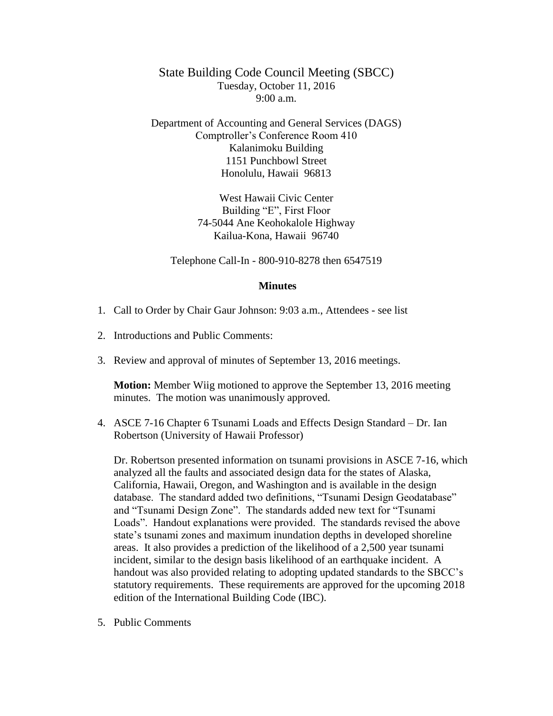State Building Code Council Meeting (SBCC) Tuesday, October 11, 2016 9:00 a.m.

Department of Accounting and General Services (DAGS) Comptroller's Conference Room 410 Kalanimoku Building 1151 Punchbowl Street Honolulu, Hawaii 96813

> West Hawaii Civic Center Building "E", First Floor 74-5044 Ane Keohokalole Highway Kailua-Kona, Hawaii 96740

Telephone Call-In - 800-910-8278 then 6547519

## **Minutes**

- 1. Call to Order by Chair Gaur Johnson: 9:03 a.m., Attendees see list
- 2. Introductions and Public Comments:
- 3. Review and approval of minutes of September 13, 2016 meetings.

**Motion:** Member Wiig motioned to approve the September 13, 2016 meeting minutes. The motion was unanimously approved.

4. ASCE 7-16 Chapter 6 Tsunami Loads and Effects Design Standard – Dr. Ian Robertson (University of Hawaii Professor)

Dr. Robertson presented information on tsunami provisions in ASCE 7-16, which analyzed all the faults and associated design data for the states of Alaska, California, Hawaii, Oregon, and Washington and is available in the design database. The standard added two definitions, "Tsunami Design Geodatabase" and "Tsunami Design Zone". The standards added new text for "Tsunami Loads". Handout explanations were provided. The standards revised the above state's tsunami zones and maximum inundation depths in developed shoreline areas. It also provides a prediction of the likelihood of a 2,500 year tsunami incident, similar to the design basis likelihood of an earthquake incident. A handout was also provided relating to adopting updated standards to the SBCC's statutory requirements. These requirements are approved for the upcoming 2018 edition of the International Building Code (IBC).

5. Public Comments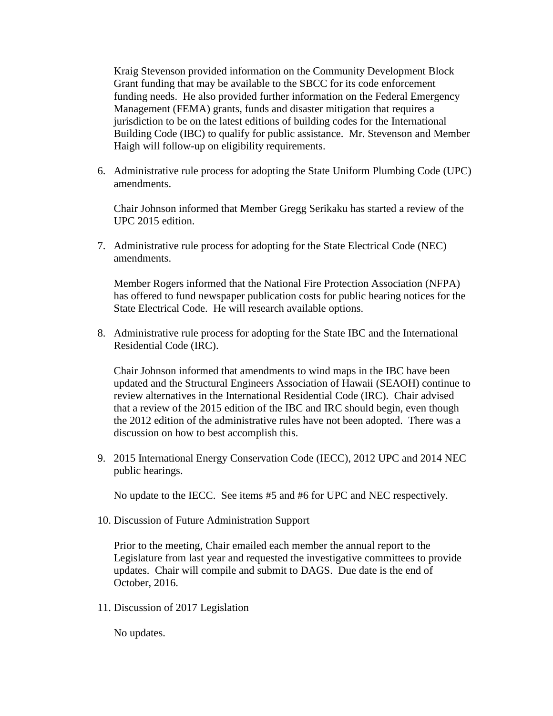Kraig Stevenson provided information on the Community Development Block Grant funding that may be available to the SBCC for its code enforcement funding needs. He also provided further information on the Federal Emergency Management (FEMA) grants, funds and disaster mitigation that requires a jurisdiction to be on the latest editions of building codes for the International Building Code (IBC) to qualify for public assistance. Mr. Stevenson and Member Haigh will follow-up on eligibility requirements.

6. Administrative rule process for adopting the State Uniform Plumbing Code (UPC) amendments.

Chair Johnson informed that Member Gregg Serikaku has started a review of the UPC 2015 edition.

7. Administrative rule process for adopting for the State Electrical Code (NEC) amendments.

Member Rogers informed that the National Fire Protection Association (NFPA) has offered to fund newspaper publication costs for public hearing notices for the State Electrical Code. He will research available options.

8. Administrative rule process for adopting for the State IBC and the International Residential Code (IRC).

Chair Johnson informed that amendments to wind maps in the IBC have been updated and the Structural Engineers Association of Hawaii (SEAOH) continue to review alternatives in the International Residential Code (IRC). Chair advised that a review of the 2015 edition of the IBC and IRC should begin, even though the 2012 edition of the administrative rules have not been adopted. There was a discussion on how to best accomplish this.

9. 2015 International Energy Conservation Code (IECC), 2012 UPC and 2014 NEC public hearings.

No update to the IECC. See items #5 and #6 for UPC and NEC respectively.

10. Discussion of Future Administration Support

Prior to the meeting, Chair emailed each member the annual report to the Legislature from last year and requested the investigative committees to provide updates. Chair will compile and submit to DAGS. Due date is the end of October, 2016.

11. Discussion of 2017 Legislation

No updates.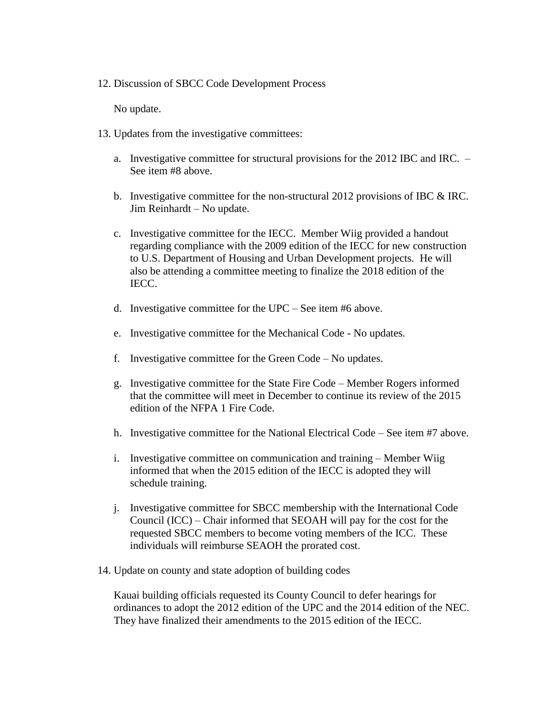## 12. Discussion of SBCC Code Development Process

No update.

- 13. Updates from the investigative committees:
	- a. Investigative committee for structural provisions for the 2012 IBC and IRC. See item #8 above.
	- b. Investigative committee for the non-structural 2012 provisions of IBC & IRC. Jim Reinhardt – No update.
	- c. Investigative committee for the IECC. Member Wiig provided a handout regarding compliance with the 2009 edition of the IECC for new construction to U.S. Department of Housing and Urban Development projects. He will also be attending a committee meeting to finalize the 2018 edition of the IECC.
	- d. Investigative committee for the UPC See item #6 above.
	- e. Investigative committee for the Mechanical Code No updates.
	- f. Investigative committee for the Green Code No updates.
	- g. Investigative committee for the State Fire Code Member Rogers informed that the committee will meet in December to continue its review of the 2015 edition of the NFPA 1 Fire Code.
	- h. Investigative committee for the National Electrical Code See item #7 above.
	- i. Investigative committee on communication and training Member Wiig informed that when the 2015 edition of the IECC is adopted they will schedule training.
	- j. Investigative committee for SBCC membership with the International Code Council (ICC) – Chair informed that SEOAH will pay for the cost for the requested SBCC members to become voting members of the ICC. These individuals will reimburse SEAOH the prorated cost.
- 14. Update on county and state adoption of building codes

Kauai building officials requested its County Council to defer hearings for ordinances to adopt the 2012 edition of the UPC and the 2014 edition of the NEC. They have finalized their amendments to the 2015 edition of the IECC.